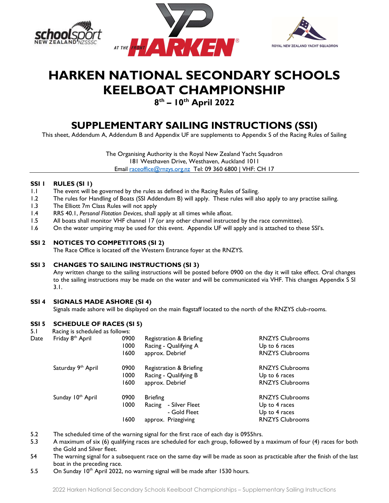





# HARKEN NATIONAL SECONDARY SCHOOLS KEELBOAT CHAMPIONSHIP

### 8<sup>th</sup> – 10<sup>th</sup> April 2022

## SUPPLEMENTARY SAILING INSTRUCTIONS (SSI)

This sheet, Addendum A, Addendum B and Appendix UF are supplements to Appendix S of the Racing Rules of Sailing

The Organising Authority is the Royal New Zealand Yacht Squadron 181 Westhaven Drive, Westhaven, Auckland 1011 Email raceoffice@rnzys.org.nz Tel: 09 360 6800 | VHF: CH 17

#### SSI I RULES (SI I)

- 1.1 The event will be governed by the rules as defined in the Racing Rules of Sailing.
- 1.2 The rules for Handling of Boats (SSI Addendum B) will apply. These rules will also apply to any practise sailing.
- 1.3 The Elliott 7m Class Rules will not apply
- 1.4 RRS 40.1, Personal Flotation Devices, shall apply at all times while afloat.<br>1.5 All boats shall monitor VHF channel 17 (or any other channel instruct
- All boats shall monitor VHF channel 17 (or any other channel instructed by the race committee).
- 1.6 On the water umpiring may be used for this event. Appendix UF will apply and is attached to these SSI's.

#### SSI 2 NOTICES TO COMPETITORS (SI 2)

The Race Office is located off the Western Entrance foyer at the RNZYS.

#### SSI 3 CHANGES TO SAILING INSTRUCTIONS (SI 3)

Any written change to the sailing instructions will be posted before 0900 on the day it will take effect. Oral changes to the sailing instructions may be made on the water and will be communicated via VHF. This changes Appendix S SI 3.1.

#### SSI 4 SIGNALS MADE ASHORE (SI 4)

Signals made ashore will be displayed on the main flagstaff located to the north of the RNZYS club-rooms.

#### SSI 5 SCHEDULE OF RACES (SI 5)

- 5.1 Racing is scheduled as follows: Date Friday 8<sup>th</sup> April 0900 Registration & Briefing **RNZYS Clubrooms** 1000 Racing - Qualifying A Contract Up to 6 races 1600 approx. Debrief **RNZYS** Clubrooms Saturday 9<sup>th</sup> April **0900** Registration & Briefing **RNZYS** Clubrooms 1000 Racing - Qualifying B Up to 6 races 1600 approx. Debrief **RNZYS** Clubrooms Sunday 10<sup>th</sup> April **1990** 10900 Briefing **RNZYS Clubrooms** 1000 Racing - Silver Fleet Up to 4 races - Gold Fleet Up to 4 races 1600 approx. Prizegiving **RNZYS** Clubrooms
- 5.2 The scheduled time of the warning signal for the first race of each day is 0955hrs.
- 5.3 A maximum of six (6) qualifying races are scheduled for each group, followed by a maximum of four (4) races for both the Gold and Silver fleet.
- 54 The warning signal for a subsequent race on the same day will be made as soon as practicable after the finish of the last boat in the preceding race.
- 5.5 On Sunday 10<sup>th</sup> April 2022, no warning signal will be made after 1530 hours.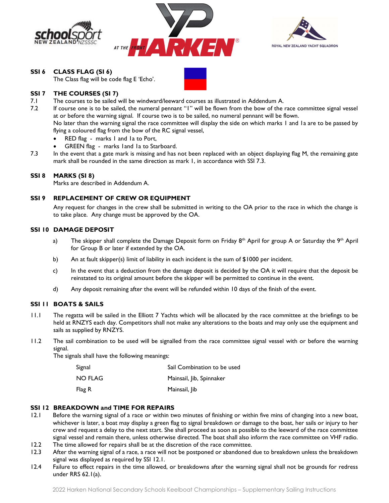





SSI 6 CLASS FLAG (SI 6)

The Class flag will be code flag E 'Echo'.

#### SSI 7 THE COURSES (SI 7)

7.1 The courses to be sailed will be windward/leeward courses as illustrated in Addendum A.

7.2 If course one is to be sailed, the numeral pennant "1" will be flown from the bow of the race committee signal vessel at or before the warning signal. If course two is to be sailed, no numeral pennant will be flown.

 No later than the warning signal the race committee will display the side on which marks 1 and 1a are to be passed by flying a coloured flag from the bow of the RC signal vessel,

- RED flag marks I and Ia to Port,
- GREEN flag marks 1and 1a to Starboard.
- 7.3 In the event that a gate mark is missing and has not been replaced with an object displaying flag M, the remaining gate mark shall be rounded in the same direction as mark 1, in accordance with SSI 7.3.

#### SSI 8 MARKS (SI 8)

Marks are described in Addendum A.

#### SSI 9 REPLACEMENT OF CREW OR EQUIPMENT

 Any request for changes in the crew shall be submitted in writing to the OA prior to the race in which the change is to take place. Any change must be approved by the OA.

#### SSI 10 DAMAGE DEPOSIT

- a) The skipper shall complete the Damage Deposit form on Friday 8<sup>th</sup> April for group A or Saturday the 9<sup>th</sup> April for Group B or later if extended by the OA.
- b) An at fault skipper(s) limit of liability in each incident is the sum of \$1000 per incident.
- c) In the event that a deduction from the damage deposit is decided by the OA it will require that the deposit be reinstated to its original amount before the skipper will be permitted to continue in the event.
- d) Any deposit remaining after the event will be refunded within 10 days of the finish of the event.

#### SSI 11 BOATS & SAILS

- 11.1 The regatta will be sailed in the Elliott 7 Yachts which will be allocated by the race committee at the briefings to be held at RNZYS each day. Competitors shall not make any alterations to the boats and may only use the equipment and sails as supplied by RNZYS.
- 11.2 The sail combination to be used will be signalled from the race committee signal vessel with or before the warning signal.

The signals shall have the following meanings:

| Signal  | Sail Combination to be used |
|---------|-----------------------------|
| NO FLAG | Mainsail, Jib, Spinnaker    |
| Flag R  | Mainsail, Jib               |

#### SSI 12 BREAKDOWN and TIME FOR REPAIRS

- 12.1 Before the warning signal of a race or within two minutes of finishing or within five mins of changing into a new boat, whichever is later, a boat may display a green flag to signal breakdown or damage to the boat, her sails or injury to her crew and request a delay to the next start. She shall proceed as soon as possible to the leeward of the race committee signal vessel and remain there, unless otherwise directed. The boat shall also inform the race committee on VHF radio.
- 12.2 The time allowed for repairs shall be at the discretion of the race committee.
- 12.3 After the warning signal of a race, a race will not be postponed or abandoned due to breakdown unless the breakdown signal was displayed as required by SSI 12.1.
- 12.4 Failure to effect repairs in the time allowed, or breakdowns after the warning signal shall not be grounds for redress under RRS 62.1(a).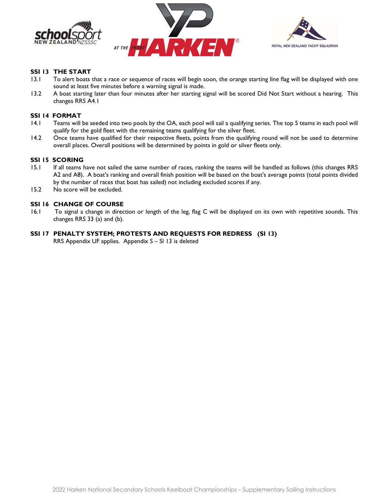





#### SSI 13 THE START

- 13.1 To alert boats that a race or sequence of races will begin soon, the orange starting line flag will be displayed with one sound at least five minutes before a warning signal is made.
- 13.2 A boat starting later than four minutes after her starting signal will be scored Did Not Start without a hearing. This changes RRS A4.1

#### SSI 14 FORMAT

- 14.1 Teams will be seeded into two pools by the OA, each pool will sail a qualifying series. The top 5 teams in each pool will qualify for the gold fleet with the remaining teams qualifying for the silver fleet.
- 14.2 Once teams have qualified for their respective fleets, points from the qualifying round will not be used to determine overall places. Overall positions will be determined by points in gold or silver fleets only.

#### SSI 15 SCORING

- 15.1 If all teams have not sailed the same number of races, ranking the teams will be handled as follows (this changes RRS A2 and A8). A boat's ranking and overall finish position will be based on the boat's average points (total points divided by the number of races that boat has sailed) not including excluded scores if any.
- 15.2 No score will be excluded.

#### SSI 16 CHANGE OF COURSE

16.1 To signal a change in direction or length of the leg, flag C will be displayed on its own with repetitive sounds. This changes RRS 33 (a) and (b).

#### SSI 17 PENALTY SYSTEM; PROTESTS AND REQUESTS FOR REDRESS (SI 13)

RRS Appendix UF applies. Appendix S – SI 13 is deleted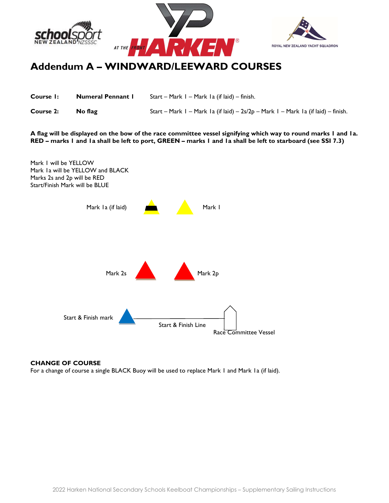





## Addendum A – WINDWARD/LEEWARD COURSES

| Course I: | <b>Numeral Pennant I</b> | Start – Mark I – Mark I a (if laid) – finish.                                     |
|-----------|--------------------------|-----------------------------------------------------------------------------------|
| Course 2: | No flag                  | Start – Mark I – Mark Ia (if laid) – 2s/2p – Mark I – Mark Ia (if laid) – finish. |

A flag will be displayed on the bow of the race committee vessel signifying which way to round marks 1 and 1a. RED – marks 1 and 1a shall be left to port, GREEN – marks 1 and 1a shall be left to starboard (see SSI 7.3)



#### CHANGE OF COURSE

For a change of course a single BLACK Buoy will be used to replace Mark 1 and Mark 1a (if laid).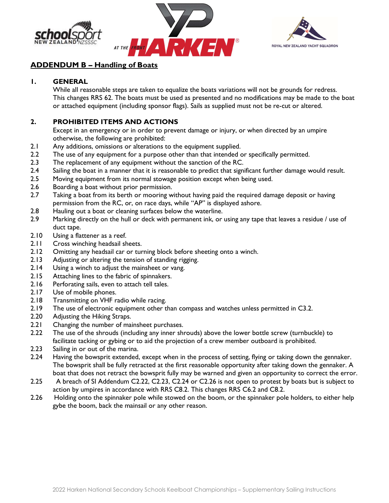





### ADDENDUM B – Handling of Boats

### 1. GENERAL

While all reasonable steps are taken to equalize the boats variations will not be grounds for redress. This changes RRS 62. The boats must be used as presented and no modifications may be made to the boat or attached equipment (including sponsor flags). Sails as supplied must not be re-cut or altered.

### 2. PROHIBITED ITEMS AND ACTIONS

Except in an emergency or in order to prevent damage or injury, or when directed by an umpire otherwise, the following are prohibited:

- 2.1 Any additions, omissions or alterations to the equipment supplied.
- 2.2 The use of any equipment for a purpose other than that intended or specifically permitted.
- 2.3 The replacement of any equipment without the sanction of the RC.
- 2.4 Sailing the boat in a manner that it is reasonable to predict that significant further damage would result.
- 2.5 Moving equipment from its normal stowage position except when being used.
- 2.6 Boarding a boat without prior permission.
- 2.7 Taking a boat from its berth or mooring without having paid the required damage deposit or having permission from the RC, or, on race days, while "AP" is displayed ashore.
- 2.8 Hauling out a boat or cleaning surfaces below the waterline.
- 2.9 Marking directly on the hull or deck with permanent ink, or using any tape that leaves a residue / use of duct tape.
- 2.10 Using a flattener as a reef.
- 2.11 Cross winching headsail sheets.
- 2.12 Omitting any headsail car or turning block before sheeting onto a winch.
- 2.13 Adjusting or altering the tension of standing rigging.
- 2.14 Using a winch to adjust the mainsheet or vang.
- 2.15 Attaching lines to the fabric of spinnakers.
- 2.16 Perforating sails, even to attach tell tales.
- 2.17 Use of mobile phones.
- 2.18 Transmitting on VHF radio while racing.<br>2.19 The use of electronic equipment other the
- The use of electronic equipment other than compass and watches unless permitted in C3.2.
- 2.20 Adjusting the Hiking Straps.
- 2.21 Changing the number of mainsheet purchases.
- 2.22 The use of the shrouds (including any inner shrouds) above the lower bottle screw (turnbuckle) to facilitate tacking or gybing or to aid the projection of a crew member outboard is prohibited.
- 2.23 Sailing in or out of the marina.
- 2.24 Having the bowsprit extended, except when in the process of setting, flying or taking down the gennaker. The bowsprit shall be fully retracted at the first reasonable opportunity after taking down the gennaker. A boat that does not retract the bowsprit fully may be warned and given an opportunity to correct the error.
- 2.25 A breach of SI Addendum C2.22, C2.23, C2.24 or C2.26 is not open to protest by boats but is subject to action by umpires in accordance with RRS C8.2. This changes RRS C6.2 and C8.2.
- 2.26 Holding onto the spinnaker pole while stowed on the boom, or the spinnaker pole holders, to either help gybe the boom, back the mainsail or any other reason.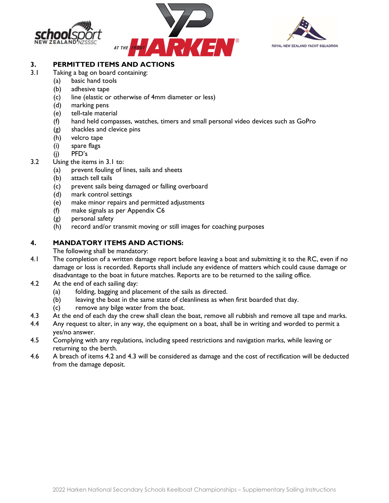





### 3. PERMITTED ITEMS AND ACTIONS

- 3.1 Taking a bag on board containing:
	- (a) basic hand tools
	- (b) adhesive tape
	- (c) line (elastic or otherwise of 4mm diameter or less)
	- (d) marking pens
	- (e) tell-tale material
	- (f) hand held compasses, watches, timers and small personal video devices such as GoPro
	- (g) shackles and clevice pins
	- (h) velcro tape
	- (i) spare flags
	- (j) PFD's
- 3.2 Using the items in 3.1 to:
	- (a) prevent fouling of lines, sails and sheets
	- (b) attach tell tails
	- (c) prevent sails being damaged or falling overboard
	- (d) mark control settings
	- (e) make minor repairs and permitted adjustments
	- (f) make signals as per Appendix C6
	- (g) personal safety
	- (h) record and/or transmit moving or still images for coaching purposes

### 4. MANDATORY ITEMS AND ACTIONS:

The following shall be mandatory:

- 4.1 The completion of a written damage report before leaving a boat and submitting it to the RC, even if no damage or loss is recorded. Reports shall include any evidence of matters which could cause damage or disadvantage to the boat in future matches. Reports are to be returned to the sailing office.
- 4.2 At the end of each sailing day:
	- (a) folding, bagging and placement of the sails as directed.
	- (b) leaving the boat in the same state of cleanliness as when first boarded that day.
	- (c) remove any bilge water from the boat.
- 4.3 At the end of each day the crew shall clean the boat, remove all rubbish and remove all tape and marks.
- 4.4 Any request to alter, in any way, the equipment on a boat, shall be in writing and worded to permit a yes/no answer.
- 4.5 Complying with any regulations, including speed restrictions and navigation marks, while leaving or returning to the berth.
- 4.6 A breach of items 4.2 and 4.3 will be considered as damage and the cost of rectification will be deducted from the damage deposit.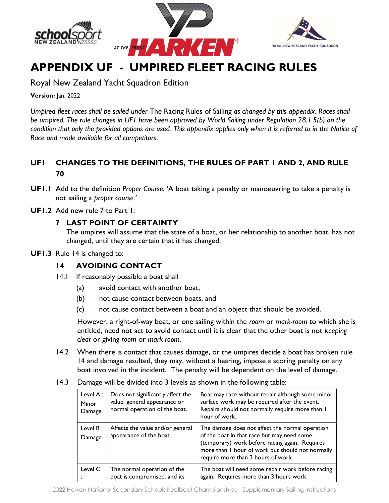





# APPENDIX UF - UMPIRED FLEET RACING RULES

Royal New Zealand Yacht Squadron Edition

Version: Jan, 2022

Umpired fleet races shall be sailed under The Racing Rules of Sailing as changed by this appendix. Races shall be umpired. The rule changes in UF1 have been approved by World Sailing under Regulation 28.1.5(b) on the condition that only the provided options are used. This appendix applies only when it is referred to in the Notice of Race and made available for all competitors.

### UF1 CHANGES TO THE DEFINITIONS, THE RULES OF PART 1 AND 2, AND RULE 70

- UF1.1 Add to the definition Proper Course: 'A boat taking a penalty or manoeuvring to take a penalty is not sailing a proper course.'
- UF1.2 Add new rule 7 to Part 1:

### 7 LAST POINT OF CERTAINTY

The umpires will assume that the state of a boat, or her relationship to another boat, has not changed, until they are certain that it has changed.

UF1.3 Rule 14 is changed to:

### 14 AVOIDING CONTACT

- 14.1 If reasonably possible a boat shall
	- (a) avoid contact with another boat,
	- (b) not cause contact between boats, and
	- (c) not cause contact between a boat and an object that should be avoided.

 However, a right-of-way boat, or one sailing within the room or mark-room to which she is entitled, need not act to avoid contact until it is clear that the other boat is not keeping clear or giving room or mark-room.

- 14.2 When there is contact that causes damage, or the umpires decide a boat has broken rule 14 and damage resulted, they may, without a hearing, impose a scoring penalty on any boat involved in the incident. The penalty will be dependent on the level of damage.
- 14.3 Damage will be divided into 3 levels as shown in the following table:

| Level $A$ :<br>Minor<br>Damage | Does not significantly affect the<br>value, general appearance or<br>normal operation of the boat. | Boat may race without repair although some minor<br>surface work may be required after the event.<br>Repairs should not normally require more than I<br>hour of work.                                                                     |
|--------------------------------|----------------------------------------------------------------------------------------------------|-------------------------------------------------------------------------------------------------------------------------------------------------------------------------------------------------------------------------------------------|
| Level $B$ :<br>Damage          | Affects the value and/or general<br>appearance of the boat.                                        | The damage does not affect the normal operation<br>of the boat in that race but may need some<br>(temporary) work before racing again. Requires<br>more than I hour of work but should not normally<br>require more than 3 hours of work. |
| Level C                        | The normal operation of the<br>boat is compromised, and its                                        | The boat will need some repair work before racing<br>again. Requires more than 3 hours work.                                                                                                                                              |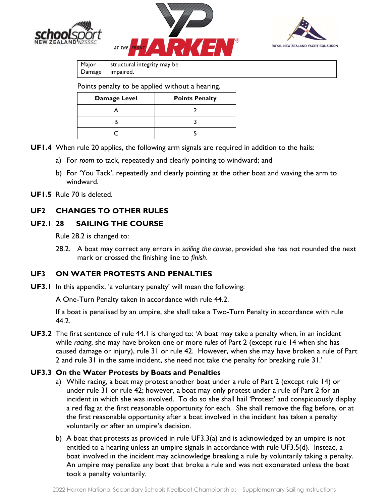





| Major | structural integrity may be |
|-------|-----------------------------|
|       | Damage   impaired.          |

Points penalty to be applied without a hearing.

| Damage Level | <b>Points Penalty</b> |
|--------------|-----------------------|
|              |                       |
|              |                       |
|              |                       |
|              |                       |

- UF1.4 When rule 20 applies, the following arm signals are required in addition to the hails:
	- a) For room to tack, repeatedly and clearly pointing to windward; and
	- b) For 'You Tack', repeatedly and clearly pointing at the other boat and waving the arm to windward.
- UF1.5 Rule 70 is deleted.

### UF2 CHANGES TO OTHER RULES

### UF2.1 28 SAILING THE COURSE

Rule 28.2 is changed to:

28.2. A boat may correct any errors in sailing the course, provided she has not rounded the next mark or crossed the finishing line to finish.

### UF3 ON WATER PROTESTS AND PENALTIES

UF3.1 In this appendix, 'a voluntary penalty' will mean the following:

A One-Turn Penalty taken in accordance with rule 44.2.

If a boat is penalised by an umpire, she shall take a Two-Turn Penalty in accordance with rule 44.2.

UF3.2 The first sentence of rule 44.1 is changed to: 'A boat may take a penalty when, in an incident while racing, she may have broken one or more rules of Part 2 (except rule 14 when she has caused damage or injury), rule 31 or rule 42. However, when she may have broken a rule of Part 2 and rule 31 in the same incident, she need not take the penalty for breaking rule 31.'

#### UF3.3 On the Water Protests by Boats and Penalties

- a) While racing, a boat may protest another boat under a rule of Part 2 (except rule 14) or under rule 31 or rule 42; however, a boat may only protest under a rule of Part 2 for an incident in which she was involved. To do so she shall hail 'Protest' and conspicuously display a red flag at the first reasonable opportunity for each. She shall remove the flag before, or at the first reasonable opportunity after a boat involved in the incident has taken a penalty voluntarily or after an umpire's decision.
- b) A boat that protests as provided in rule UF3.3(a) and is acknowledged by an umpire is not entitled to a hearing unless an umpire signals in accordance with rule UF3.5(d). Instead, a boat involved in the incident may acknowledge breaking a rule by voluntarily taking a penalty. An umpire may penalize any boat that broke a rule and was not exonerated unless the boat took a penalty voluntarily.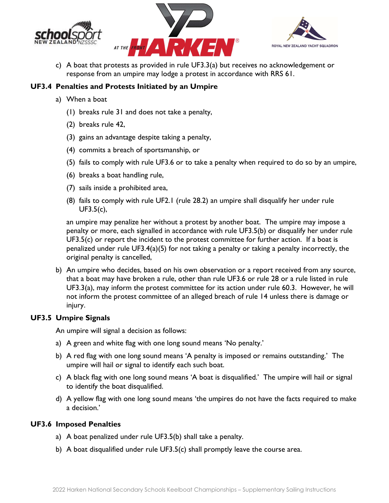





c) A boat that protests as provided in rule UF3.3(a) but receives no acknowledgement or response from an umpire may lodge a protest in accordance with RRS 61.

### UF3.4 Penalties and Protests Initiated by an Umpire

- a) When a boat
	- (1) breaks rule 31 and does not take a penalty,
	- (2) breaks rule 42,
	- (3) gains an advantage despite taking a penalty,
	- (4) commits a breach of sportsmanship, or
	- (5) fails to comply with rule UF3.6 or to take a penalty when required to do so by an umpire,
	- (6) breaks a boat handling rule,
	- (7) sails inside a prohibited area,
	- (8) fails to comply with rule UF2.1 (rule 28.2) an umpire shall disqualify her under rule UF3.5(c),

an umpire may penalize her without a protest by another boat. The umpire may impose a penalty or more, each signalled in accordance with rule UF3.5(b) or disqualify her under rule  $UF3.5(c)$  or report the incident to the protest committee for further action. If a boat is penalized under rule UF3.4(a)(5) for not taking a penalty or taking a penalty incorrectly, the original penalty is cancelled,

b) An umpire who decides, based on his own observation or a report received from any source, that a boat may have broken a rule, other than rule UF3.6 or rule 28 or a rule listed in rule UF3.3(a), may inform the protest committee for its action under rule 60.3. However, he will not inform the protest committee of an alleged breach of rule 14 unless there is damage or injury.

### UF3.5 Umpire Signals

An umpire will signal a decision as follows:

- a) A green and white flag with one long sound means 'No penalty.'
- b) A red flag with one long sound means 'A penalty is imposed or remains outstanding.' The umpire will hail or signal to identify each such boat.
- c) A black flag with one long sound means 'A boat is disqualified.' The umpire will hail or signal to identify the boat disqualified.
- d) A yellow flag with one long sound means 'the umpires do not have the facts required to make a decision.'

### UF3.6 Imposed Penalties

- a) A boat penalized under rule UF3.5(b) shall take a penalty.
- b) A boat disqualified under rule UF3.5(c) shall promptly leave the course area.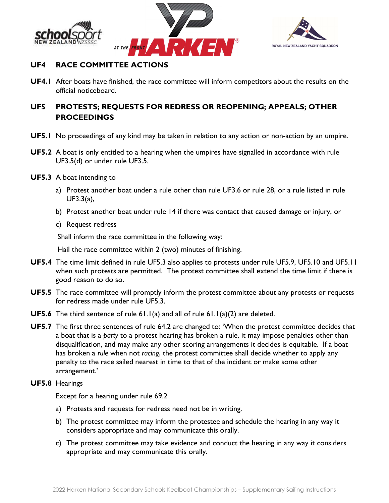





### UF4 RACE COMMITTEE ACTIONS

UF4.1 After boats have finished, the race committee will inform competitors about the results on the official noticeboard.

### UF5 PROTESTS; REQUESTS FOR REDRESS OR REOPENING; APPEALS; OTHER **PROCEEDINGS**

- UF5.1 No proceedings of any kind may be taken in relation to any action or non-action by an umpire.
- UF5.2 A boat is only entitled to a hearing when the umpires have signalled in accordance with rule UF3.5(d) or under rule UF3.5.
- UF5.3 A boat intending to
	- a) Protest another boat under a rule other than rule UF3.6 or rule 28, or a rule listed in rule UF3.3(a),
	- b) Protest another boat under rule 14 if there was contact that caused damage or injury, or
	- c) Request redress

Shall inform the race committee in the following way:

Hail the race committee within 2 (two) minutes of finishing.

- UF5.4 The time limit defined in rule UF5.3 also applies to protests under rule UF5.9, UF5.10 and UF5.11 when such protests are permitted. The protest committee shall extend the time limit if there is good reason to do so.
- UF5.5 The race committee will promptly inform the protest committee about any protests or requests for redress made under rule UF5.3.
- UF5.6 The third sentence of rule 61.1(a) and all of rule 61.1(a)(2) are deleted.
- UF5.7 The first three sentences of rule 64.2 are changed to: 'When the protest committee decides that a boat that is a party to a protest hearing has broken a rule, it may impose penalties other than disqualification, and may make any other scoring arrangements it decides is equitable. If a boat has broken a rule when not racing, the protest committee shall decide whether to apply any penalty to the race sailed nearest in time to that of the incident or make some other arrangement.'
- UF5.8 Hearings

Except for a hearing under rule 69.2

- a) Protests and requests for redress need not be in writing.
- b) The protest committee may inform the protestee and schedule the hearing in any way it considers appropriate and may communicate this orally.
- c) The protest committee may take evidence and conduct the hearing in any way it considers appropriate and may communicate this orally.